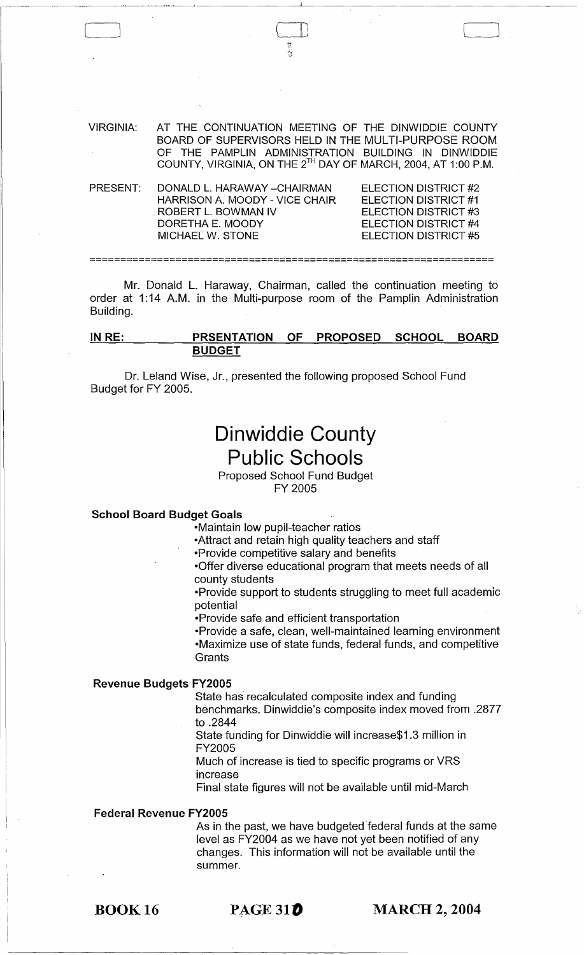VIRGINIA: AT THE CONTINUATION MEETING OF THE DINWIDDIE COUNTY BOARD OF SUPERVISORS HELD IN THE MULTI-PURPOSE ROOM OF THE PAMPLIN ADMINISTRATION BUILDING IN DINWIDDIE COUNTY, VIRGINIA, ON THE 2TH DAY OF MARCH, 2004, AT 1:00 P.M.

\_\_\_\_\_\_\_\_ J ( i\ i I *<sup>i</sup>*

| PRESENT: | DONALD L. HARAWAY - CHAIRMAN   | ELECTION DISTRICT #2 |
|----------|--------------------------------|----------------------|
|          | HARRISON A. MOODY - VICE CHAIR | ELECTION DISTRICT #1 |
|          | ROBERT L. BOWMAN IV            | ELECTION DISTRICT #3 |
|          | DORETHA E. MOODY               | ELECTION DISTRICT #4 |
|          | MICHAFI W. STONF               | ELECTION DISTRICT #5 |
|          |                                |                      |

Mr. Donald L. Haraway, Chairman, called the continuation meeting to order at 1:14 A.M. in the Multi-purpose room of the Pamplin Administration

**==================================================================** 

**INRE: PRSENTATION OF PROPOSED SCHOOL BOARD BUDGET** 

Dr. Leland Wise, Jr., presented the following proposed School Fund Budget for FY 2005.

# **Dinwiddie County Public Schools**

Proposed School Fund Budget FY 2005

#### **School Board Budget Goals**

Building.

-Maintain low pupil-teacher ratios

-Attract and retain high quality teachers and staff

-Provide competitive salary and benefits

-Offer diverse educational program that meets needs of all county students

-Provide support to students struggling to meet full academic potential

-Provide safe and efficient transportation

-Provide a safe, clean, well-maintained learning environment -Maximize use of state funds, federal funds, and competitive **Grants** 

#### **Revenue Budgets FY2005**

State has recalculated composite index and funding

benchmarks. Dinwiddie's composite index moved from .2877 to .2844

State funding for Dinwiddie will increase\$1.3 million in FY2005

Much of increase is tied to specific programs or VRS increase

Final state figures will not be available until mid-March

#### **Federal Revenue FY2005**

As in the past, we have budgeted federal funds at the same level as FY2004 as we have not yet been notified of any changes. This information will not be available until the summer.

**PAGE 310 MARCH 2, 2004**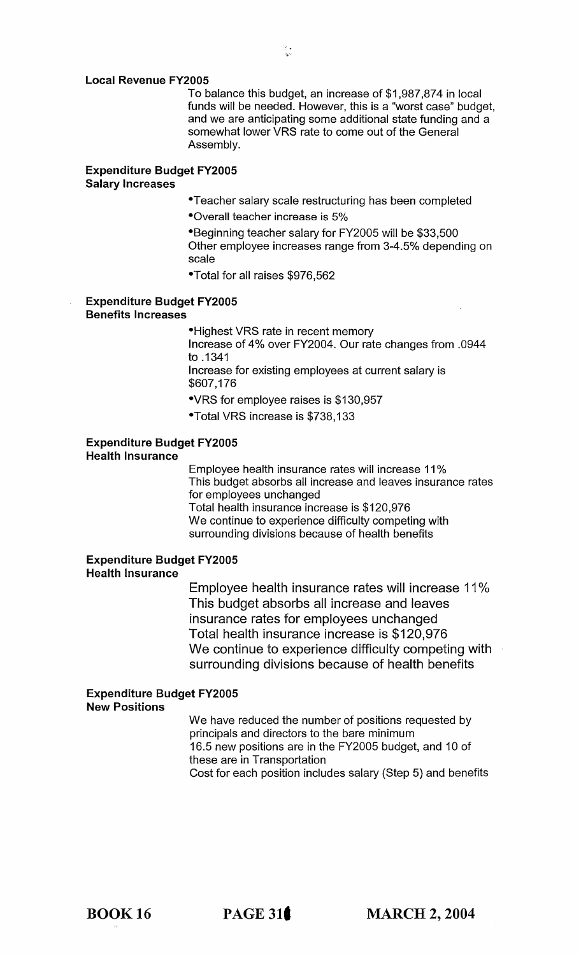#### Local Revenue FY2005

To balance this budget, an increase of \$1 ,987,874 in local funds will be needed. However, this is a "worst case" budget, and we are anticipating some additional state funding and a somewhat lower VRS rate to come out of the General Assembly.

#### Expenditure Budget FY2005 Salary Increases

- -Teacher salary scale restructuring has been completed
- -Overall teacher increase is 5%

-Beginning teacher salary for FY2005 will be \$33,500 Other employee increases range from 3-4.5% depending on scale

-Total for all raises \$976,562

#### Expenditure Budget FY2005 Benefits Increases

-Highest VRS rate in recent memory Increase of 4% over FY2004. Our rate changes from .0944 to .1341

Increase for existing employees at current salary is \$607,176

-VRS for employee raises is \$130,957

-Total VRS increase is \$738,133

#### Expenditure Budget FY2005 Health Insurance

Employee health insurance rates will increase 11 % This budget absorbs all increase and leaves insurance rates for employees unchanged Total health insurance increase is \$120,976

We continue to experience difficulty competing with surrounding divisions because of health benefits

#### Expenditure Budget FY2005 Health Insurance

Employee health insurance rates will increase 11 % This budget absorbs all increase and leaves insurance rates for employees unchanged Total health insurance increase is \$120,976 We continue to experience difficulty competing with surrounding divisions because of health benefits

#### Expenditure Budget FY2005 New Positions

We have reduced the number of positions requested by principals and directors to the bare minimum 16.5 new positions are in the FY2005 budget, and 10 of these are in Transportation Cost for each position includes salary (Step 5) and benefits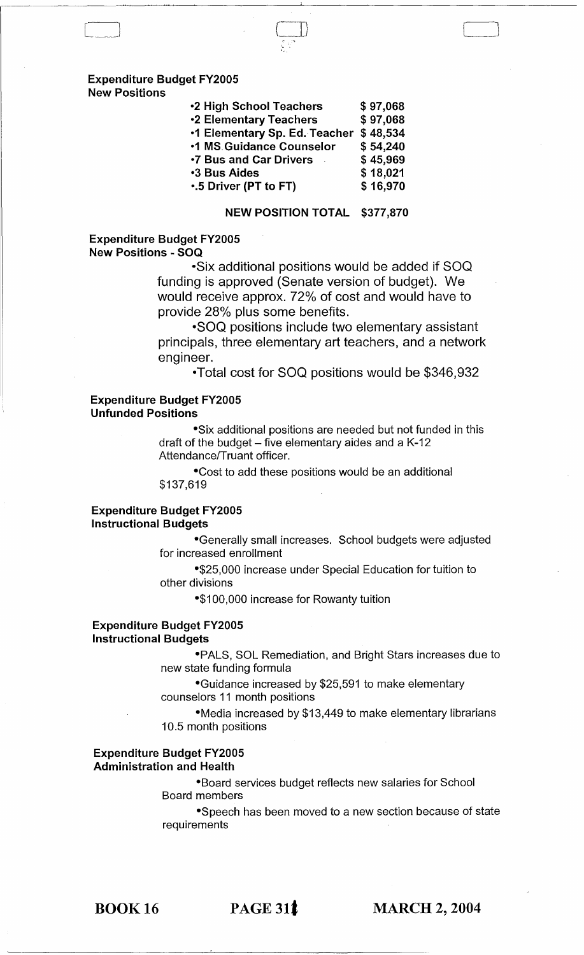## Expenditure Budget FY200S

New Positions

| <b>•2 High School Teachers</b>  | \$97,068 |
|---------------------------------|----------|
| <b>•2 Elementary Teachers</b>   | \$97,068 |
| •1 Elementary Sp. Ed. Teacher   | \$48,534 |
| <b>.1 MS Guidance Counselor</b> | \$54,240 |
| <b>.7 Bus and Car Drivers</b>   | \$45,969 |
| <b>3 Bus Aides</b>              | \$18,021 |
| .5 Driver (PT to FT)            | \$16,970 |

#### NEW POSITION TOTAL \$377,870

#### Expenditure Budget FY200S New Positions - SOQ

-Six additional positions would be added if SOQ funding is approved (Senate version of budget). We would receive approx. 72% of cost and would have to provide 28% plus some benefits.

-SOQ positions include two elementary assistant principals, three elementary art teachers, and a network engineer.

-Total cost for SOQ positions would be \$346,932

#### Expenditure Budget FY200S Unfunded Positions

-Six additional positions are needed but not funded in this draft of the budget  $-$  five elementary aides and a K-12 Attendance/Truant officer.

-Cost to add these positions would be an additional \$137,619

#### Expenditure Budget FY200S Instructional Budgets

-Generally small increases. School budgets were adjusted for increased enrollment

-\$25,000 increase under Special Education for tuition to other divisions

-\$100,000 increase for Rowanty tuition

#### Expenditure Budget FY200S Instructional Budgets

-PALS, SOL Remediation, and Bright Stars increases due to new state funding formula

-Guidance increased by \$25,591 to make elementary counselors 11 month positions

-Media increased by \$13,449 to make elementary librarians 10.5 month positions

#### Expenditure Budget FY200S Administration and Health

-Board services budget reflects new salaries for School Board members

-Speech has been moved to a new section because of state requirements

BOOK 16

PAGE 311 MARCH 2, 2004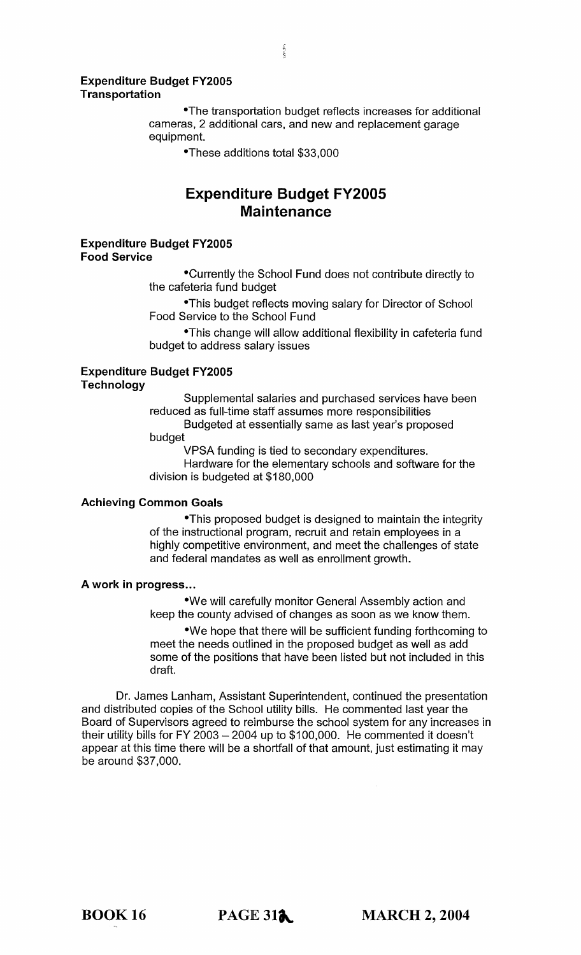#### Expenditure Budget FY2005 **Transportation**

-The transportation budget reflects increases for additional cameras, 2 additional cars, and new and replacement garage equipment.

-These additions total \$33,000

## **Expenditure Budget FY2005 Maintenance**

#### Expenditure Budget FY2005 Food Service

-Currently the School Fund does not contribute directly to the cafeteria fund budget

-This budget reflects moving salary for Director of School Food Service to the School Fund

-This change will allow additional flexibility in cafeteria fund budget to address salary issues

## Expenditure Budget FY2005

**Technology** 

Supplemental salaries and purchased services have been reduced as full-time staff assumes more responsibilities

Budgeted at essentially same as last year's proposed budget

VPSA funding is tied to secondary expenditures.

Hardware for the elementary schools and software for the division is budgeted at \$180,000

#### Achieving Common Goals

-This proposed budget is designed to maintain the integrity of the instructional program, recruit and retain employees in a highly competitive environment, and meet the challenges of state and federal mandates as well as enrollment growth.

#### A work in progress...

-We will carefully monitor General Assembly action and keep the county advised of changes as soon as we know them.

-We hope that there will be sufficient funding forthcoming to meet the needs outlined in the proposed budget as well as add some of the positions that have been listed but not included in this draft.

Dr. James Lanham, Assistant Superintendent, continued the presentation and distributed copies of the School utility bills. He commented last year the Board of Supervisors agreed to reimburse the school system for any increases in their utility bills for FY 2003  $-$  2004 up to \$100,000. He commented it doesn't appear at this time there will be a shortfall of that amount, just estimating it may be around \$37,000.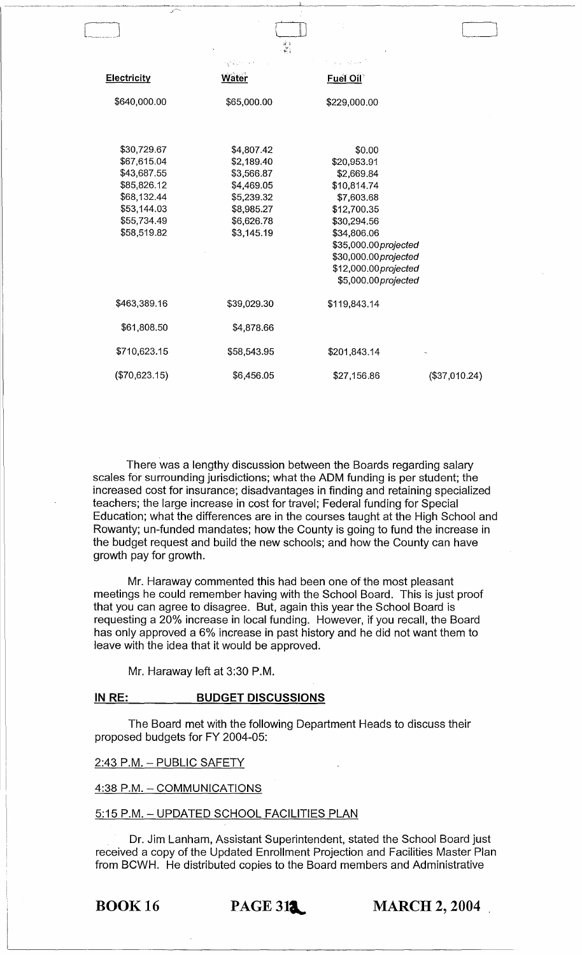| - 1                 |                          |                            |               |
|---------------------|--------------------------|----------------------------|---------------|
| <u> Electricity</u> | 经预算 化二氯化<br><b>Water</b> | أتعطي والمحارب<br>Fuel Oil |               |
|                     |                          |                            |               |
| \$640,000.00        | \$65,000.00              | \$229,000.00               |               |
|                     |                          |                            |               |
| \$30,729.67         | \$4,807.42               | \$0.00                     |               |
| \$67,615.04         | \$2,189.40               | \$20,953.91                |               |
| \$43,687.55         | \$3,566.87               | \$2,669.84                 |               |
| \$85,826.12         | \$4,469.05               | \$10,814.74                |               |
| \$68,132.44         | \$5,239.32               | \$7,603.68                 |               |
| \$53,144.03         | \$8,985.27               | \$12,700.35                |               |
| \$55,734.49         | \$6,626.78               | \$30,294.56                |               |
| \$58,519.82         | \$3,145.19               | \$34,806.06                |               |
|                     |                          | \$35,000.00 projected      |               |
|                     |                          | \$30,000.00 projected      |               |
|                     |                          | \$12,000.00 projected      |               |
|                     |                          | \$5,000.00 projected       |               |
| \$463,389.16        | \$39,029.30              | \$119,843.14               |               |
| \$61,808.50         | \$4,878.66               |                            |               |
| \$710,623.15        | \$58,543.95              | \$201,843.14               |               |
| (\$70,623.15)       | \$6,456.05               | \$27,156.86                | (\$37,010.24) |
|                     |                          |                            |               |

 $\sqrt{1-\frac{1}{2}}$  $\Box$ 

There was a lengthy discussion between the Boards regarding salary scales for surrounding jurisdictions; what the ADM funding is per student; the increased cost for insurance; disadvantages in finding and retaining specialized teachers; the large increase in cost for travel; Federal funding for Special Education; what the differences are in the courses taught at the High School and Rowanty; un-funded mandates; how the County is going to fund the increase in the budget request and build the new schools; and how the County can have growth pay for growth.

Mr. Haraway commented this had been one of the most pleasant meetings he could remember having with the School Board. This is just proof that you can agree to disagree. But, again this year the School Board is requesting a 20% increase in local funding. However, if you recall, the Board has only approved a 6% increase in past history and he did not want them to leave with the idea that it would be approved.

Mr. Haraway left at 3:30 P.M.

#### **IN RE: BUDGET DISCUSSIONS**

The Board met with the following Department Heads to discuss their proposed budgets for FY 2004-05:

#### 2:43 P.M. - PUBLIC SAFETY

4:38 P.M. - COMMUNICATIONS

#### 5:15 P.M. - UPDATED SCHOOL FACILITIES PLAN

Dr. Jim Lanham, Assistant Superintendent, stated the School Board just received a copy of the Updated Enrollment Projection and Facilities Master Plan from BCWH. He distributed copies to the Board members and Administrative

**BOOK 16 PAGE 312 MARCH 2, 2004**